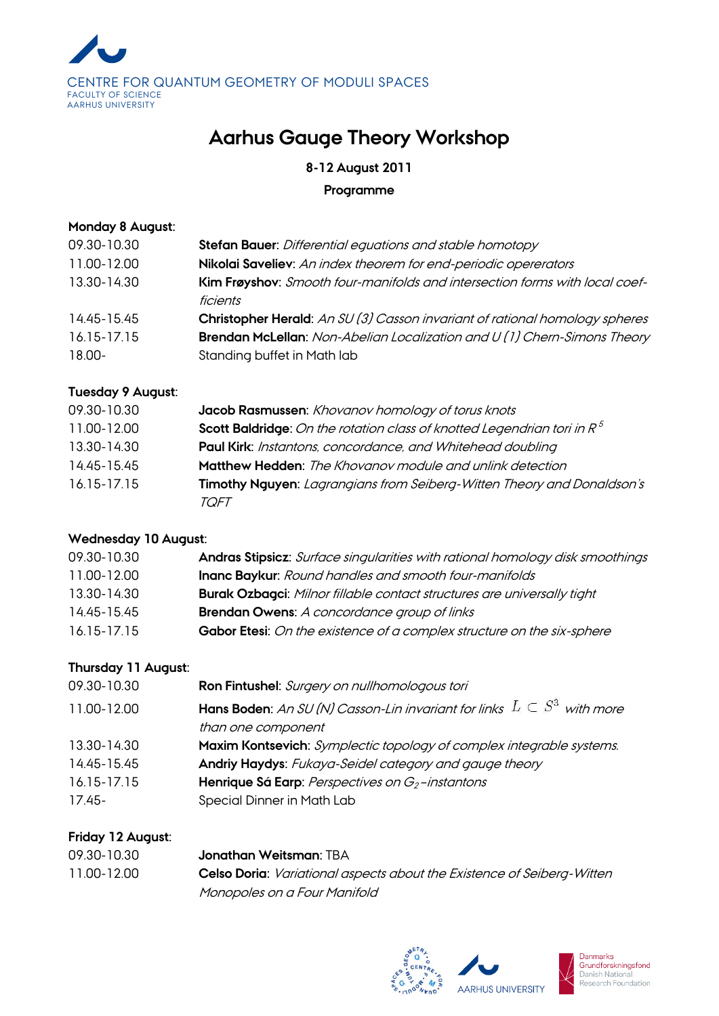

# **Aarhus Gauge Theory Workshop**

**8-12 August 2011**

**Programme**

#### **Monday 8 August:**

| 09.30-10.30 | Stefan Bauer: Differential equations and stable homotopy                                |
|-------------|-----------------------------------------------------------------------------------------|
| 11.00-12.00 | Nikolai Saveliev: An index theorem for end-periodic opererators                         |
| 13.30-14.30 | Kim Frøyshov: Smooth four-manifolds and intersection forms with local coef-<br>ficients |
| 14.45-15.45 | Christopher Herald: An SU (3) Casson invariant of rational homology spheres             |
| 16.15-17.15 | Brendan McLellan: Non-Abelian Localization and U (1) Chern-Simons Theory                |
| $18.00 -$   | Standing buffet in Math lab                                                             |

# **Tuesday 9 August:**

| 09.30-10.30 | Jacob Rasmussen: Khovanov homology of torus knots                                 |
|-------------|-----------------------------------------------------------------------------------|
| 11.00-12.00 | <b>Scott Baldridge:</b> On the rotation class of knotted Legendrian tori in $R^5$ |
| 13.30-14.30 | Paul Kirk: Instantons, concordance, and Whitehead doubling                        |
| 14.45-15.45 | Matthew Hedden: The Khovanov module and unlink detection                          |
| 16.15-17.15 | Timothy Nguyen: Lagrangians from Seiberg-Witten Theory and Donaldson's<br>TOFT    |

# **Wednesday 10 August:**

| 09.30-10.30     | Andras Stipsicz: Surface singularities with rational homology disk smoothings  |
|-----------------|--------------------------------------------------------------------------------|
| 11.00-12.00     | Inanc Baykur: Round handles and smooth four-manifolds                          |
| 13.30-14.30     | <b>Burak Ozbagci:</b> Milnor fillable contact structures are universally tight |
| 14.45-15.45     | <b>Brendan Owens:</b> A concordance group of links                             |
| $16.15 - 17.15$ | Gabor Etesi: On the existence of a complex structure on the six-sphere         |
|                 |                                                                                |

# **Thursday 11 August:**

| 09.30-10.30 | Ron Fintushel: Surgery on nullhomologous tori                                         |
|-------------|---------------------------------------------------------------------------------------|
| 11.00-12.00 | <b>Hans Boden:</b> An SU (N) Casson-Lin invariant for links $L \subset S^3$ with more |
|             | than one component                                                                    |
| 13.30-14.30 | Maxim Kontsevich: Symplectic topology of complex integrable systems.                  |
| 14.45-15.45 | Andriy Haydys: Fukaya-Seidel category and gauge theory                                |
| 16.15-17.15 | Henrique Sá Earp: Perspectives on $G_2$ -instantons                                   |
| $17.45 -$   | Special Dinner in Math Lab                                                            |
|             |                                                                                       |

## **Friday 12 August:**

| 09.30-10.30 | <b>Jonathan Weitsman: TBA</b>                                                 |
|-------------|-------------------------------------------------------------------------------|
| 11.00-12.00 | <b>Celso Doria:</b> Variational aspects about the Existence of Seiberg-Witten |
|             | Monopoles on a Four Manifold                                                  |



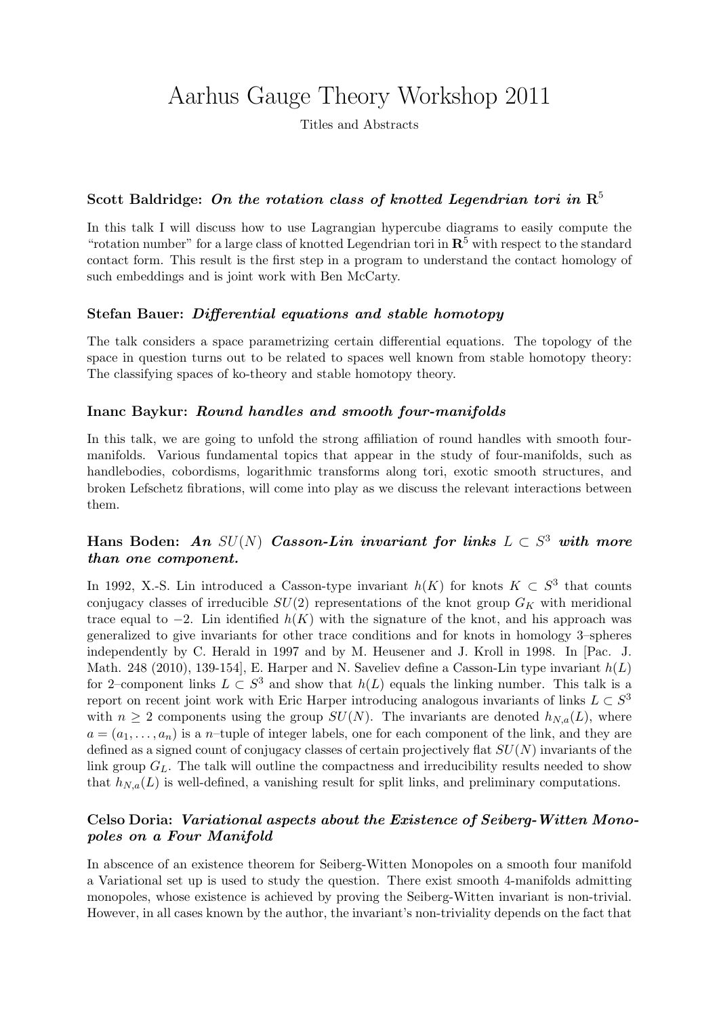# Aarhus Gauge Theory Workshop 2011

Titles and Abstracts

## Scott Baldridge: On the rotation class of knotted Legendrian tori in  $\mathbb{R}^5$

In this talk I will discuss how to use Lagrangian hypercube diagrams to easily compute the "rotation number" for a large class of knotted Legendrian tori in  $\mathbb{R}^5$  with respect to the standard contact form. This result is the first step in a program to understand the contact homology of such embeddings and is joint work with Ben McCarty.

#### Stefan Bauer: Differential equations and stable homotopy

The talk considers a space parametrizing certain differential equations. The topology of the space in question turns out to be related to spaces well known from stable homotopy theory: The classifying spaces of ko-theory and stable homotopy theory.

#### Inanc Baykur: Round handles and smooth four-manifolds

In this talk, we are going to unfold the strong affiliation of round handles with smooth fourmanifolds. Various fundamental topics that appear in the study of four-manifolds, such as handlebodies, cobordisms, logarithmic transforms along tori, exotic smooth structures, and broken Lefschetz fibrations, will come into play as we discuss the relevant interactions between them.

## Hans Boden: An  $SU(N)$  Casson-Lin invariant for links  $L \subset S^3$  with more than one component.

In 1992, X.-S. Lin introduced a Casson-type invariant  $h(K)$  for knots  $K \subset S^3$  that counts conjugacy classes of irreducible  $SU(2)$  representations of the knot group  $G_K$  with meridional trace equal to  $-2$ . Lin identified  $h(K)$  with the signature of the knot, and his approach was generalized to give invariants for other trace conditions and for knots in homology 3–spheres independently by C. Herald in 1997 and by M. Heusener and J. Kroll in 1998. In [Pac. J. Math. 248 (2010), 139-154, E. Harper and N. Saveliev define a Casson-Lin type invariant  $h(L)$ for 2–component links  $L \subset S^3$  and show that  $h(L)$  equals the linking number. This talk is a report on recent joint work with Eric Harper introducing analogous invariants of links  $L \subset S^3$ with  $n \geq 2$  components using the group  $SU(N)$ . The invariants are denoted  $h_{N,a}(L)$ , where  $a = (a_1, \ldots, a_n)$  is a n-tuple of integer labels, one for each component of the link, and they are defined as a signed count of conjugacy classes of certain projectively flat  $SU(N)$  invariants of the link group  $G_L$ . The talk will outline the compactness and irreducibility results needed to show that  $h_{N,a}(L)$  is well-defined, a vanishing result for split links, and preliminary computations.

## Celso Doria: Variational aspects about the Existence of Seiberg-Witten Monopoles on a Four Manifold

In abscence of an existence theorem for Seiberg-Witten Monopoles on a smooth four manifold a Variational set up is used to study the question. There exist smooth 4-manifolds admitting monopoles, whose existence is achieved by proving the Seiberg-Witten invariant is non-trivial. However, in all cases known by the author, the invariant's non-triviality depends on the fact that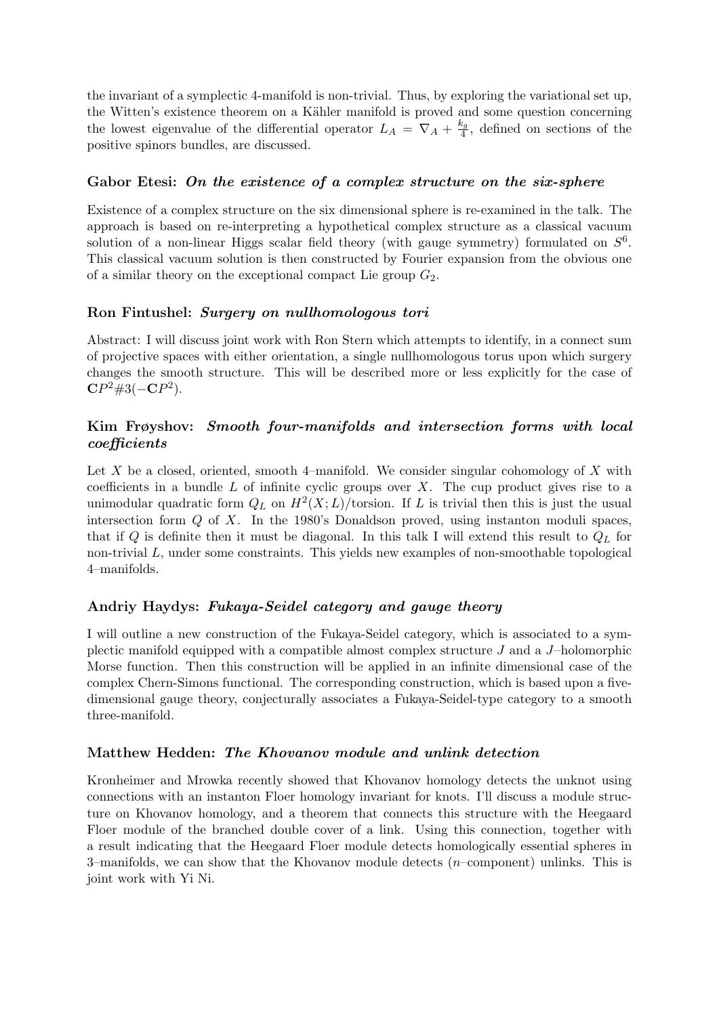the invariant of a symplectic 4-manifold is non-trivial. Thus, by exploring the variational set up, the Witten's existence theorem on a Kähler manifold is proved and some question concerning the lowest eigenvalue of the differential operator  $L_A = \nabla_A + \frac{k_g}{4}$  $\frac{\epsilon_g}{4}$ , defined on sections of the positive spinors bundles, are discussed.

#### Gabor Etesi: On the existence of a complex structure on the six-sphere

Existence of a complex structure on the six dimensional sphere is re-examined in the talk. The approach is based on re-interpreting a hypothetical complex structure as a classical vacuum solution of a non-linear Higgs scalar field theory (with gauge symmetry) formulated on  $S^6$ . This classical vacuum solution is then constructed by Fourier expansion from the obvious one of a similar theory on the exceptional compact Lie group  $G_2$ .

#### Ron Fintushel: Surgery on nullhomologous tori

Abstract: I will discuss joint work with Ron Stern which attempts to identify, in a connect sum of projective spaces with either orientation, a single nullhomologous torus upon which surgery changes the smooth structure. This will be described more or less explicitly for the case of  $\mathbb{C}P^2 \# 3(-\mathbb{C}P^2).$ 

#### Kim Frøyshov: Smooth four-manifolds and intersection forms with local coefficients

Let X be a closed, oriented, smooth 4–manifold. We consider singular cohomology of X with coefficients in a bundle  $L$  of infinite cyclic groups over  $X$ . The cup product gives rise to a unimodular quadratic form  $Q_L$  on  $H^2(X;L)/$  torsion. If L is trivial then this is just the usual intersection form Q of X. In the 1980's Donaldson proved, using instanton moduli spaces, that if Q is definite then it must be diagonal. In this talk I will extend this result to  $Q_L$  for non-trivial L, under some constraints. This yields new examples of non-smoothable topological 4–manifolds.

#### Andriy Haydys: Fukaya-Seidel category and gauge theory

I will outline a new construction of the Fukaya-Seidel category, which is associated to a symplectic manifold equipped with a compatible almost complex structure J and a J–holomorphic Morse function. Then this construction will be applied in an infinite dimensional case of the complex Chern-Simons functional. The corresponding construction, which is based upon a fivedimensional gauge theory, conjecturally associates a Fukaya-Seidel-type category to a smooth three-manifold.

#### Matthew Hedden: The Khovanov module and unlink detection

Kronheimer and Mrowka recently showed that Khovanov homology detects the unknot using connections with an instanton Floer homology invariant for knots. I'll discuss a module structure on Khovanov homology, and a theorem that connects this structure with the Heegaard Floer module of the branched double cover of a link. Using this connection, together with a result indicating that the Heegaard Floer module detects homologically essential spheres in 3–manifolds, we can show that the Khovanov module detects  $(n$ –component) unlinks. This is joint work with Yi Ni.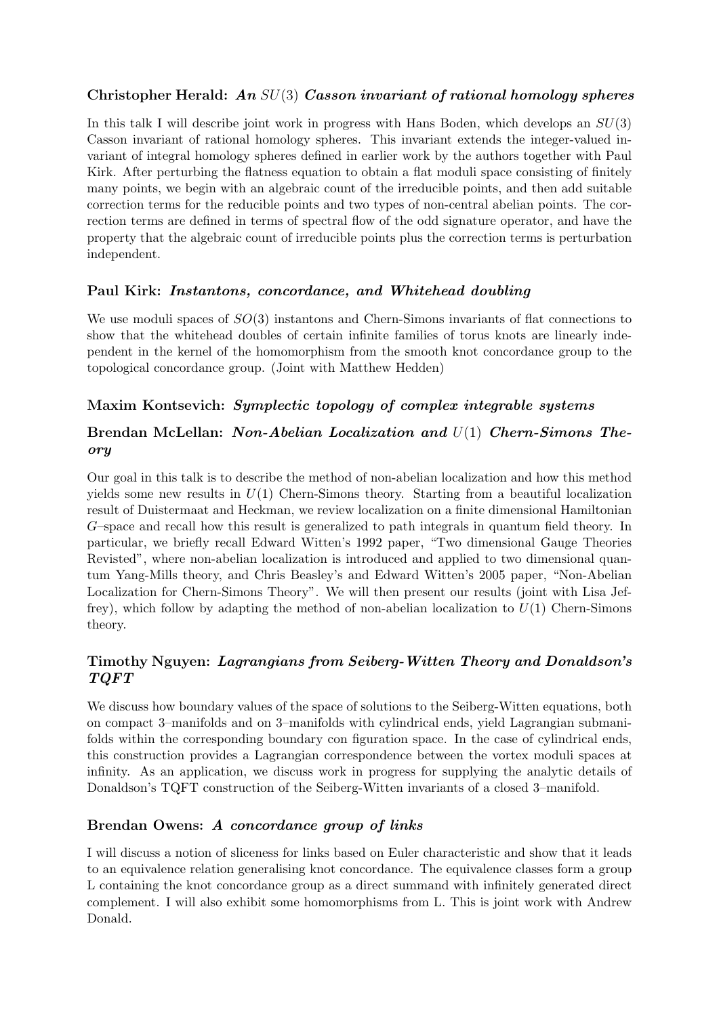# Christopher Herald: An  $SU(3)$  Casson invariant of rational homology spheres

In this talk I will describe joint work in progress with Hans Boden, which develops an  $SU(3)$ Casson invariant of rational homology spheres. This invariant extends the integer-valued invariant of integral homology spheres defined in earlier work by the authors together with Paul Kirk. After perturbing the flatness equation to obtain a flat moduli space consisting of finitely many points, we begin with an algebraic count of the irreducible points, and then add suitable correction terms for the reducible points and two types of non-central abelian points. The correction terms are defined in terms of spectral flow of the odd signature operator, and have the property that the algebraic count of irreducible points plus the correction terms is perturbation independent.

#### Paul Kirk: Instantons, concordance, and Whitehead doubling

We use moduli spaces of  $SO(3)$  instantons and Chern-Simons invariants of flat connections to show that the whitehead doubles of certain infinite families of torus knots are linearly independent in the kernel of the homomorphism from the smooth knot concordance group to the topological concordance group. (Joint with Matthew Hedden)

## Maxim Kontsevich: Symplectic topology of complex integrable systems

## Brendan McLellan: Non-Abelian Localization and U(1) Chern-Simons Theory

Our goal in this talk is to describe the method of non-abelian localization and how this method yields some new results in  $U(1)$  Chern-Simons theory. Starting from a beautiful localization result of Duistermaat and Heckman, we review localization on a finite dimensional Hamiltonian G–space and recall how this result is generalized to path integrals in quantum field theory. In particular, we briefly recall Edward Witten's 1992 paper, "Two dimensional Gauge Theories Revisted", where non-abelian localization is introduced and applied to two dimensional quantum Yang-Mills theory, and Chris Beasley's and Edward Witten's 2005 paper, "Non-Abelian Localization for Chern-Simons Theory". We will then present our results (joint with Lisa Jeffrey), which follow by adapting the method of non-abelian localization to  $U(1)$  Chern-Simons theory.

# Timothy Nguyen: Lagrangians from Seiberg-Witten Theory and Donaldson's TQFT

We discuss how boundary values of the space of solutions to the Seiberg-Witten equations, both on compact 3–manifolds and on 3–manifolds with cylindrical ends, yield Lagrangian submanifolds within the corresponding boundary con figuration space. In the case of cylindrical ends, this construction provides a Lagrangian correspondence between the vortex moduli spaces at infinity. As an application, we discuss work in progress for supplying the analytic details of Donaldson's TQFT construction of the Seiberg-Witten invariants of a closed 3–manifold.

## Brendan Owens: A concordance group of links

I will discuss a notion of sliceness for links based on Euler characteristic and show that it leads to an equivalence relation generalising knot concordance. The equivalence classes form a group L containing the knot concordance group as a direct summand with infinitely generated direct complement. I will also exhibit some homomorphisms from L. This is joint work with Andrew Donald.